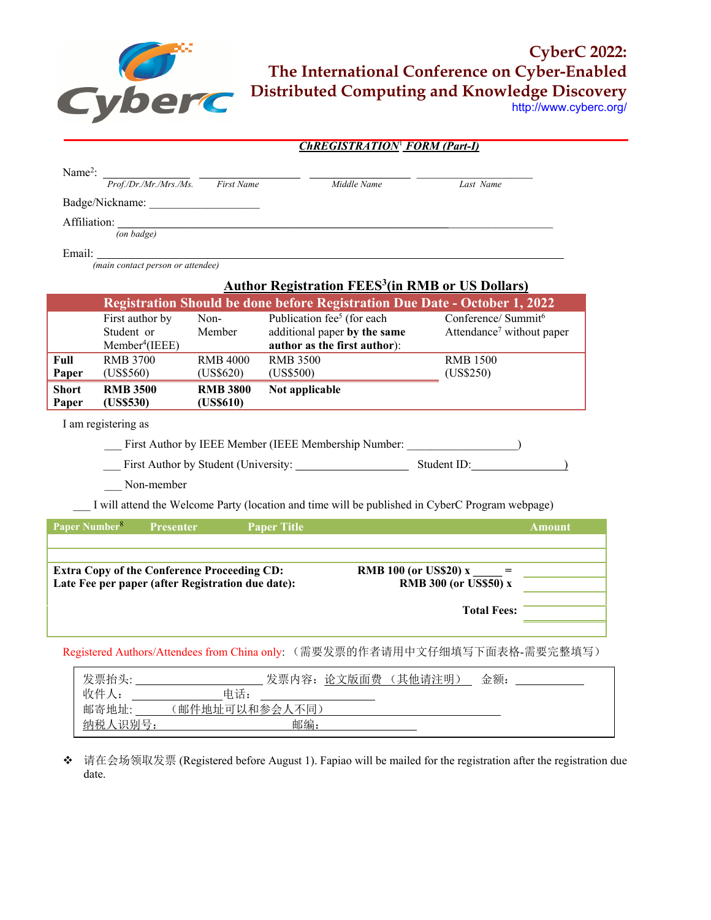

**CyberC 2022: The International Conference on Cyber-Enabled Distributed Computing and Knowledge Discovery**

http://www.cyberc.org/

|                           | <b>ChREGISTRATION<sup>1</sup> FORM (Part-I)</b>        |                 |                                                                                                 |                                       |  |
|---------------------------|--------------------------------------------------------|-----------------|-------------------------------------------------------------------------------------------------|---------------------------------------|--|
| Name <sup>2</sup> :       |                                                        |                 |                                                                                                 |                                       |  |
|                           | Prof./Dr./Mr./Mrs./Ms. First Name                      |                 | Middle Name                                                                                     | Last Name                             |  |
|                           |                                                        |                 |                                                                                                 |                                       |  |
|                           |                                                        |                 |                                                                                                 |                                       |  |
|                           | $($ on badge $)$                                       |                 |                                                                                                 |                                       |  |
| Email:                    |                                                        |                 |                                                                                                 |                                       |  |
|                           | (main contact person or attendee)                      |                 |                                                                                                 |                                       |  |
|                           |                                                        |                 | <b>Author Registration FEES<sup>3</sup>(in RMB or US Dollars)</b>                               |                                       |  |
|                           |                                                        |                 | <b>Registration Should be done before Registration Due Date - October 1, 2022</b>               |                                       |  |
|                           | First author by                                        | Non-            | Publication fee <sup>5</sup> (for each                                                          | Conference/ Summit <sup>6</sup>       |  |
|                           | Student or                                             | Member          | additional paper by the same                                                                    | Attendance <sup>7</sup> without paper |  |
| Full                      | Member <sup>4</sup> (IEEE)<br><b>RMB 3700</b>          | <b>RMB 4000</b> | author as the first author):<br><b>RMB 3500</b>                                                 | <b>RMB 1500</b>                       |  |
| Paper                     | (US\$560)                                              | (US\$620)       | (US\$500)                                                                                       | (US\$250)                             |  |
| <b>Short</b>              | <b>RMB 3500</b>                                        | <b>RMB 3800</b> | Not applicable                                                                                  |                                       |  |
| Paper                     | (US\$530)                                              | (US\$610)       |                                                                                                 |                                       |  |
|                           | I am registering as                                    |                 |                                                                                                 |                                       |  |
|                           | First Author by IEEE Member (IEEE Membership Number: ) |                 |                                                                                                 |                                       |  |
|                           |                                                        |                 |                                                                                                 |                                       |  |
|                           |                                                        |                 |                                                                                                 |                                       |  |
|                           | Non-member                                             |                 |                                                                                                 |                                       |  |
|                           |                                                        |                 | I will attend the Welcome Party (location and time will be published in CyberC Program webpage) |                                       |  |
| Paper Number <sup>8</sup> | <b>Presenter</b>                                       |                 | <b>Paper Title</b>                                                                              | <b>Amount</b>                         |  |
|                           |                                                        |                 |                                                                                                 |                                       |  |
|                           |                                                        |                 |                                                                                                 |                                       |  |
|                           | <b>Extra Copy of the Conference Proceeding CD:</b>     |                 |                                                                                                 | <b>RMB</b> 100 (or US\$20) $x =$      |  |
|                           | Late Fee per paper (after Registration due date):      |                 |                                                                                                 | <b>RMB 300 (or US\$50) x</b>          |  |
|                           |                                                        |                 |                                                                                                 | <b>Total Fees:</b>                    |  |
|                           |                                                        |                 |                                                                                                 |                                       |  |
|                           |                                                        |                 | Registered Authors/Attendees from China only: (需要发票的作者请用中文仔细填写下面表格-需要完整填写)                      |                                       |  |
|                           |                                                        |                 |                                                                                                 |                                       |  |
|                           | 发票抬头:                                                  |                 | 发票内容: 论文版面费 (其他请注明)                                                                             | 金额:                                   |  |

| 发票抬头:     | 发票内容:<br>论<br><sup>·</sup> 文版面费<br>其他请注明 | 金额: |
|-----------|------------------------------------------|-----|
| 收件        | 电话:                                      |     |
| 邮寄地址:     | (邮件地址可以和参会)<br>不同                        |     |
| 识别号<br>纳税 | 邮编:                                      |     |
|           |                                          |     |

 请在会场领取发票 (Registered before August 1). Fapiao will be mailed for the registration after the registration due date.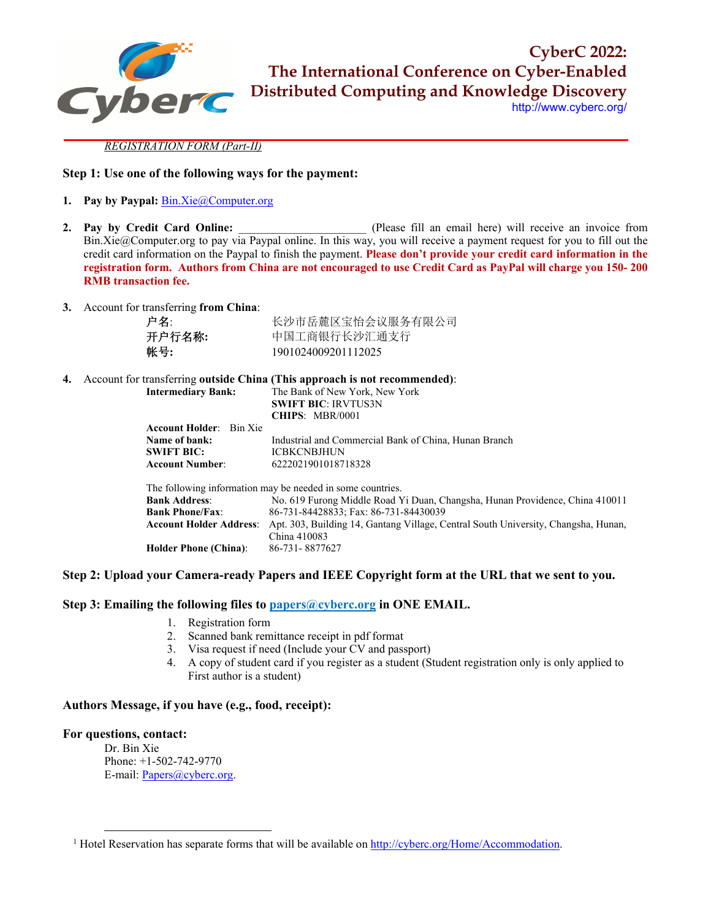

**CyberC 2022: The International Conference on Cyber-Enabled Distributed Computing and Knowledge Discovery**

http://www.cyberc.org/

#### *REGISTRATION FORM (Part-II)*

# **Step 1: Use one of the following ways for the payment:**

- **1. Pay by Paypal:** Bin.Xie@Computer.org
- **2. Pay by Credit Card Online:** *Please fill an email here) will receive an invoice from* Bin.Xie@Computer.org to pay via Paypal online. In this way, you will receive a payment request for you to fill out the credit card information on the Paypal to finish the payment. **Please don't provide your credit card information in the registration form. Authors from China are not encouraged to use Credit Card as PayPal will charge you 150- 200 RMB transaction fee.**
- **3.** Account for transferring **from China**:

| 户名:    | 长沙市岳麓区宝怡会议服务有限公司    |
|--------|---------------------|
| 开户行名称: | 中国工商银行长沙汇通支行        |
| 帐号:    | 1901024009201112025 |

| 4. | Account for transferring outside China (This approach is not recommended): |                                                                                    |  |  |  |
|----|----------------------------------------------------------------------------|------------------------------------------------------------------------------------|--|--|--|
|    | <b>Intermediary Bank:</b>                                                  | The Bank of New York, New York                                                     |  |  |  |
|    |                                                                            | <b>SWIFT BIC: IRVTUS3N</b>                                                         |  |  |  |
|    |                                                                            | CHIPS: MBR/0001                                                                    |  |  |  |
|    | <b>Account Holder:</b> Bin Xie                                             |                                                                                    |  |  |  |
|    | Name of bank:                                                              | Industrial and Commercial Bank of China, Hunan Branch                              |  |  |  |
|    | <b>SWIFT BIC:</b>                                                          | <b>ICBKCNBJHUN</b>                                                                 |  |  |  |
|    | <b>Account Number:</b>                                                     | 6222021901018718328                                                                |  |  |  |
|    |                                                                            | The following information may be needed in some countries.                         |  |  |  |
|    | <b>Bank Address:</b>                                                       | No. 619 Furong Middle Road Yi Duan, Changsha, Hunan Providence, China 410011       |  |  |  |
|    | <b>Bank Phone/Fax:</b>                                                     | 86-731-84428833; Fax: 86-731-84430039                                              |  |  |  |
|    | <b>Account Holder Address:</b>                                             | Apt. 303, Building 14, Gantang Village, Central South University, Changsha, Hunan, |  |  |  |
|    |                                                                            | China 410083                                                                       |  |  |  |
|    | <b>Holder Phone (China):</b>                                               | 86-731-8877627                                                                     |  |  |  |
|    |                                                                            |                                                                                    |  |  |  |

### **Step 2: Upload your Camera-ready Papers and IEEE Copyright form at the URL that we sent to you.**

# **Step 3: Emailing the following files to papers@cyberc.org in ONE EMAIL.**

- 1. Registration form
- 2. Scanned bank remittance receipt in pdf format
- 3. Visa request if need (Include your CV and passport)
- 4. A copy of student card if you register as a student (Student registration only is only applied to First author is a student)

# **Authors Message, if you have (e.g., food, receipt):**

### **For questions, contact:**

Dr. Bin Xie Phone: +1-502-742-9770 E-mail: Papers@cyberc.org.

<sup>&</sup>lt;sup>1</sup> Hotel Reservation has separate forms that will be available on http://cyberc.org/Home/Accommodation.